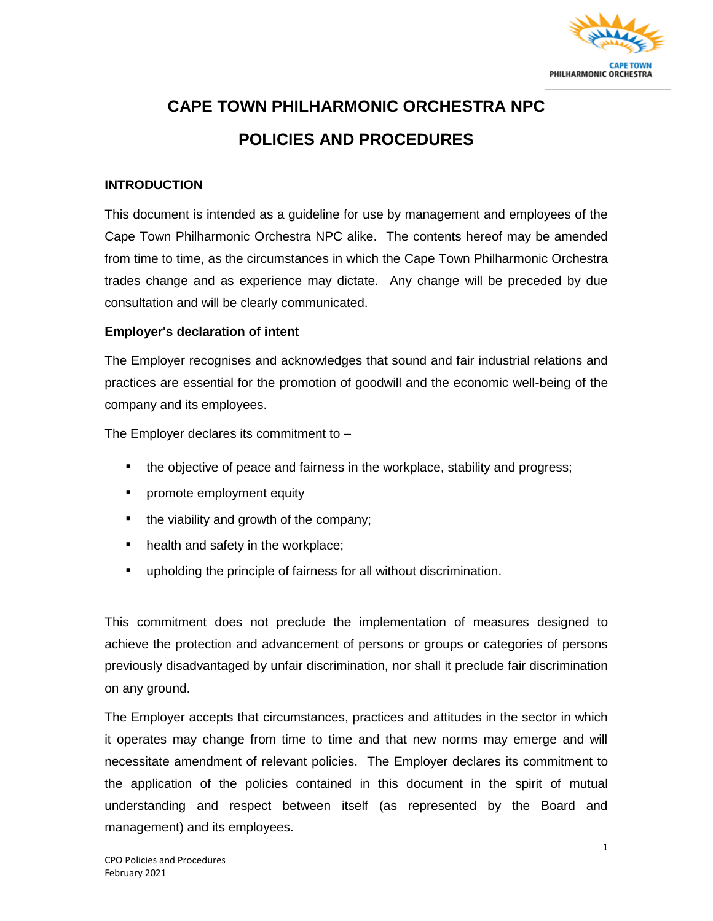

# **CAPE TOWN PHILHARMONIC ORCHESTRA NPC POLICIES AND PROCEDURES**

#### **INTRODUCTION**

This document is intended as a guideline for use by management and employees of the Cape Town Philharmonic Orchestra NPC alike. The contents hereof may be amended from time to time, as the circumstances in which the Cape Town Philharmonic Orchestra trades change and as experience may dictate. Any change will be preceded by due consultation and will be clearly communicated.

#### **Employer's declaration of intent**

The Employer recognises and acknowledges that sound and fair industrial relations and practices are essential for the promotion of goodwill and the economic well-being of the company and its employees.

The Employer declares its commitment to –

- the objective of peace and fairness in the workplace, stability and progress;
- **•** promote employment equity
- the viability and growth of the company;
- health and safety in the workplace;
- upholding the principle of fairness for all without discrimination.

This commitment does not preclude the implementation of measures designed to achieve the protection and advancement of persons or groups or categories of persons previously disadvantaged by unfair discrimination, nor shall it preclude fair discrimination on any ground.

The Employer accepts that circumstances, practices and attitudes in the sector in which it operates may change from time to time and that new norms may emerge and will necessitate amendment of relevant policies. The Employer declares its commitment to the application of the policies contained in this document in the spirit of mutual understanding and respect between itself (as represented by the Board and management) and its employees.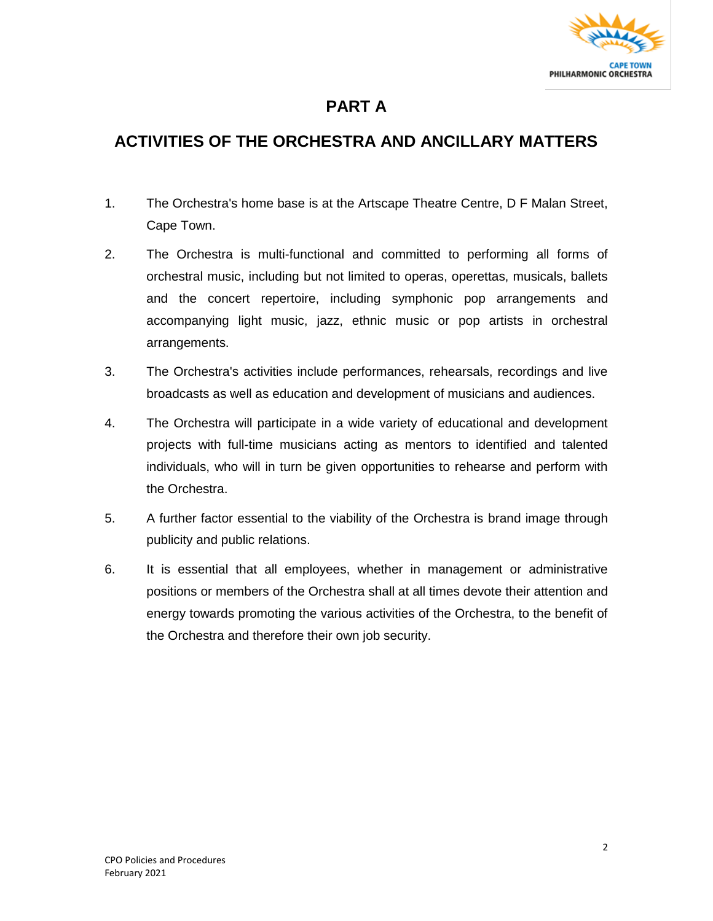

### **PART A**

### **ACTIVITIES OF THE ORCHESTRA AND ANCILLARY MATTERS**

- 1. The Orchestra's home base is at the Artscape Theatre Centre, D F Malan Street, Cape Town.
- 2. The Orchestra is multi-functional and committed to performing all forms of orchestral music, including but not limited to operas, operettas, musicals, ballets and the concert repertoire, including symphonic pop arrangements and accompanying light music, jazz, ethnic music or pop artists in orchestral arrangements.
- 3. The Orchestra's activities include performances, rehearsals, recordings and live broadcasts as well as education and development of musicians and audiences.
- 4. The Orchestra will participate in a wide variety of educational and development projects with full-time musicians acting as mentors to identified and talented individuals, who will in turn be given opportunities to rehearse and perform with the Orchestra.
- 5. A further factor essential to the viability of the Orchestra is brand image through publicity and public relations.
- 6. It is essential that all employees, whether in management or administrative positions or members of the Orchestra shall at all times devote their attention and energy towards promoting the various activities of the Orchestra, to the benefit of the Orchestra and therefore their own job security.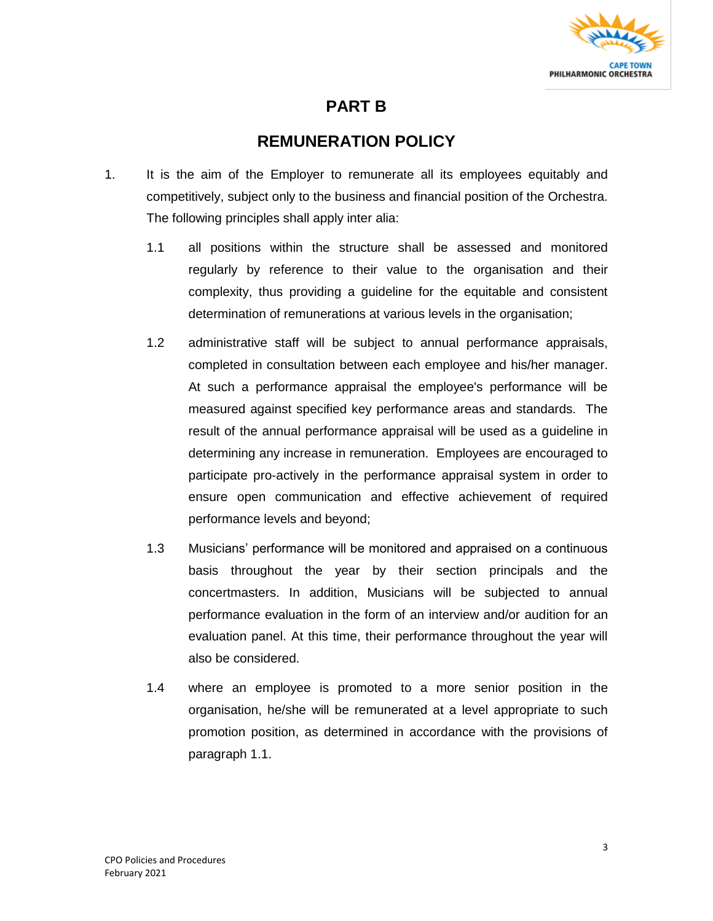

### **PART B**

### **REMUNERATION POLICY**

- 1. It is the aim of the Employer to remunerate all its employees equitably and competitively, subject only to the business and financial position of the Orchestra. The following principles shall apply inter alia:
	- 1.1 all positions within the structure shall be assessed and monitored regularly by reference to their value to the organisation and their complexity, thus providing a guideline for the equitable and consistent determination of remunerations at various levels in the organisation;
	- 1.2 administrative staff will be subject to annual performance appraisals, completed in consultation between each employee and his/her manager. At such a performance appraisal the employee's performance will be measured against specified key performance areas and standards. The result of the annual performance appraisal will be used as a guideline in determining any increase in remuneration. Employees are encouraged to participate pro-actively in the performance appraisal system in order to ensure open communication and effective achievement of required performance levels and beyond;
	- 1.3 Musicians' performance will be monitored and appraised on a continuous basis throughout the year by their section principals and the concertmasters. In addition, Musicians will be subjected to annual performance evaluation in the form of an interview and/or audition for an evaluation panel. At this time, their performance throughout the year will also be considered.
	- 1.4 where an employee is promoted to a more senior position in the organisation, he/she will be remunerated at a level appropriate to such promotion position, as determined in accordance with the provisions of paragraph 1.1.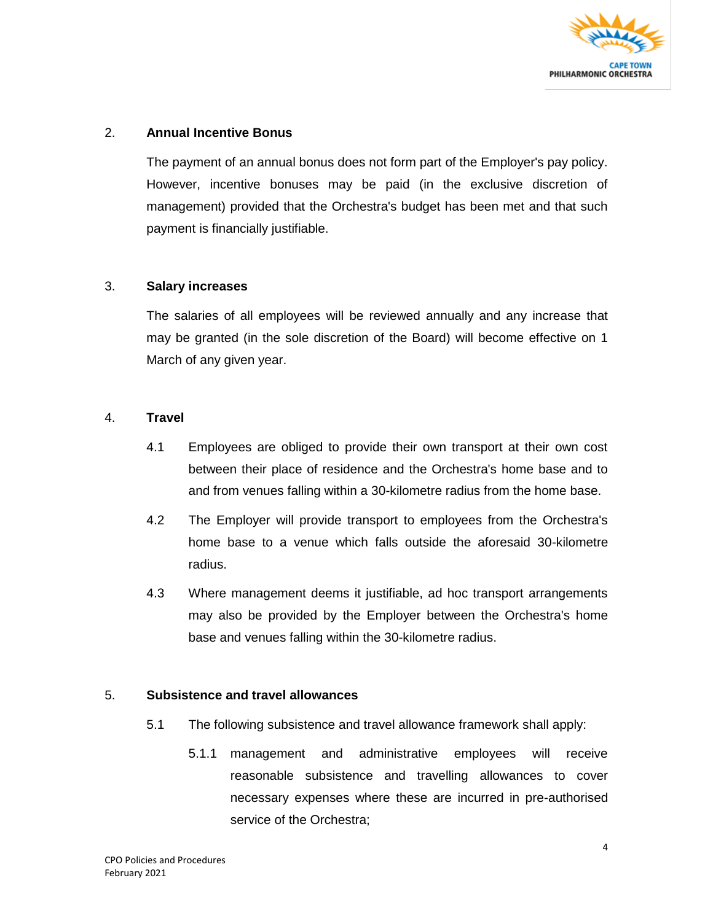

#### 2. **Annual Incentive Bonus**

The payment of an annual bonus does not form part of the Employer's pay policy. However, incentive bonuses may be paid (in the exclusive discretion of management) provided that the Orchestra's budget has been met and that such payment is financially justifiable.

#### 3. **Salary increases**

The salaries of all employees will be reviewed annually and any increase that may be granted (in the sole discretion of the Board) will become effective on 1 March of any given year.

#### 4. **Travel**

- 4.1 Employees are obliged to provide their own transport at their own cost between their place of residence and the Orchestra's home base and to and from venues falling within a 30-kilometre radius from the home base.
- 4.2 The Employer will provide transport to employees from the Orchestra's home base to a venue which falls outside the aforesaid 30-kilometre radius.
- 4.3 Where management deems it justifiable, ad hoc transport arrangements may also be provided by the Employer between the Orchestra's home base and venues falling within the 30-kilometre radius.

#### 5. **Subsistence and travel allowances**

- 5.1 The following subsistence and travel allowance framework shall apply:
	- 5.1.1 management and administrative employees will receive reasonable subsistence and travelling allowances to cover necessary expenses where these are incurred in pre-authorised service of the Orchestra;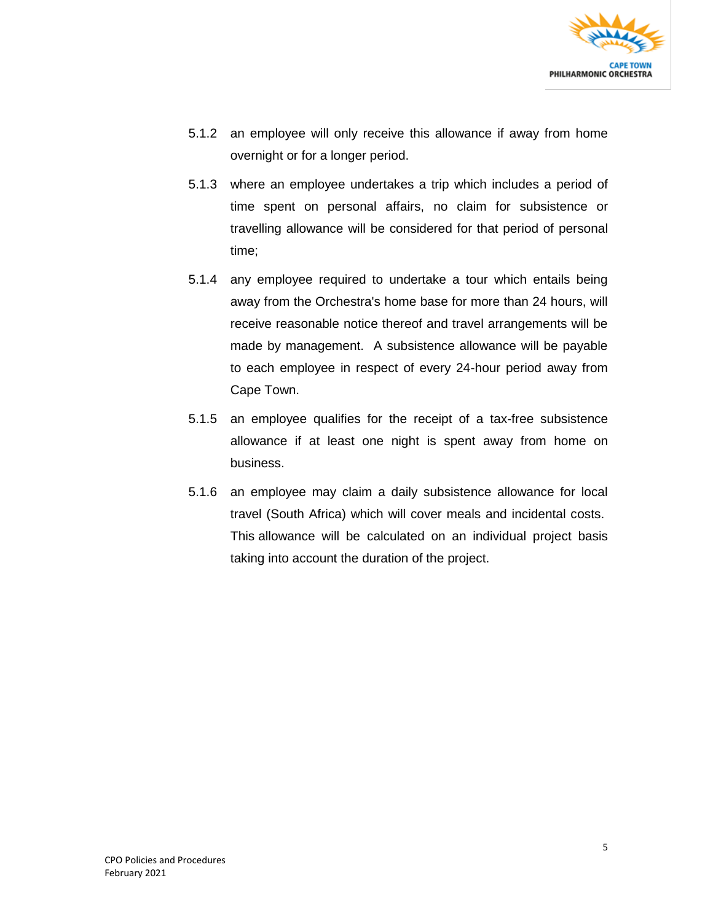

- 5.1.2 an employee will only receive this allowance if away from home overnight or for a longer period.
- 5.1.3 where an employee undertakes a trip which includes a period of time spent on personal affairs, no claim for subsistence or travelling allowance will be considered for that period of personal time;
- 5.1.4 any employee required to undertake a tour which entails being away from the Orchestra's home base for more than 24 hours, will receive reasonable notice thereof and travel arrangements will be made by management. A subsistence allowance will be payable to each employee in respect of every 24-hour period away from Cape Town.
- 5.1.5 an employee qualifies for the receipt of a tax-free subsistence allowance if at least one night is spent away from home on business.
- 5.1.6 an employee may claim a daily subsistence allowance for local travel (South Africa) which will cover meals and incidental costs. This allowance will be calculated on an individual project basis taking into account the duration of the project.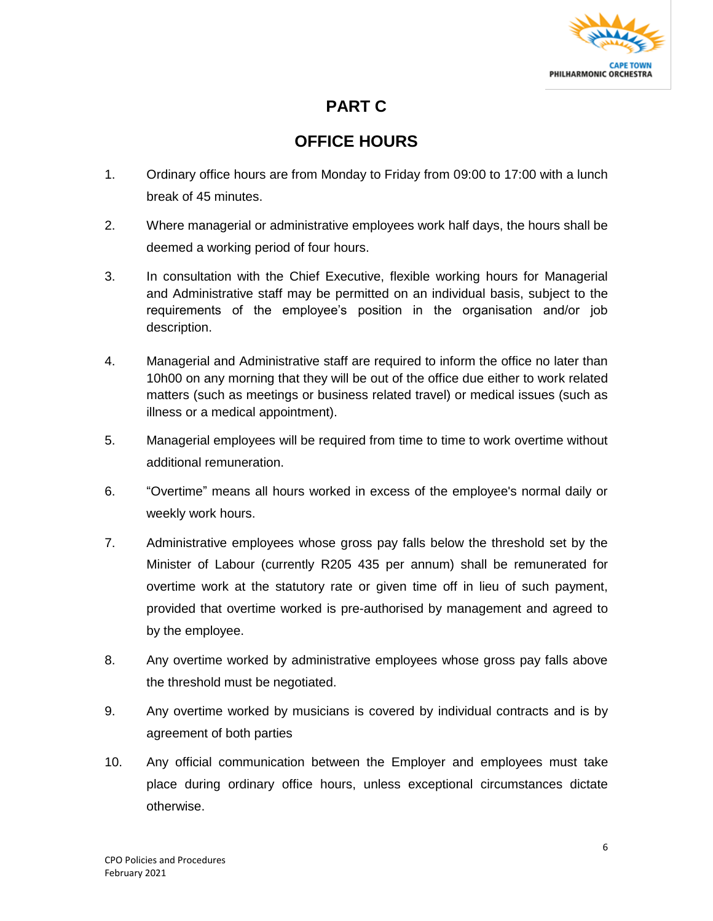

### **PART C**

### **OFFICE HOURS**

- 1. Ordinary office hours are from Monday to Friday from 09:00 to 17:00 with a lunch break of 45 minutes.
- 2. Where managerial or administrative employees work half days, the hours shall be deemed a working period of four hours.
- 3. In consultation with the Chief Executive, flexible working hours for Managerial and Administrative staff may be permitted on an individual basis, subject to the requirements of the employee's position in the organisation and/or job description.
- 4. Managerial and Administrative staff are required to inform the office no later than 10h00 on any morning that they will be out of the office due either to work related matters (such as meetings or business related travel) or medical issues (such as illness or a medical appointment).
- 5. Managerial employees will be required from time to time to work overtime without additional remuneration.
- 6. "Overtime" means all hours worked in excess of the employee's normal daily or weekly work hours.
- 7. Administrative employees whose gross pay falls below the threshold set by the Minister of Labour (currently R205 435 per annum) shall be remunerated for overtime work at the statutory rate or given time off in lieu of such payment, provided that overtime worked is pre-authorised by management and agreed to by the employee.
- 8. Any overtime worked by administrative employees whose gross pay falls above the threshold must be negotiated.
- 9. Any overtime worked by musicians is covered by individual contracts and is by agreement of both parties
- 10. Any official communication between the Employer and employees must take place during ordinary office hours, unless exceptional circumstances dictate otherwise.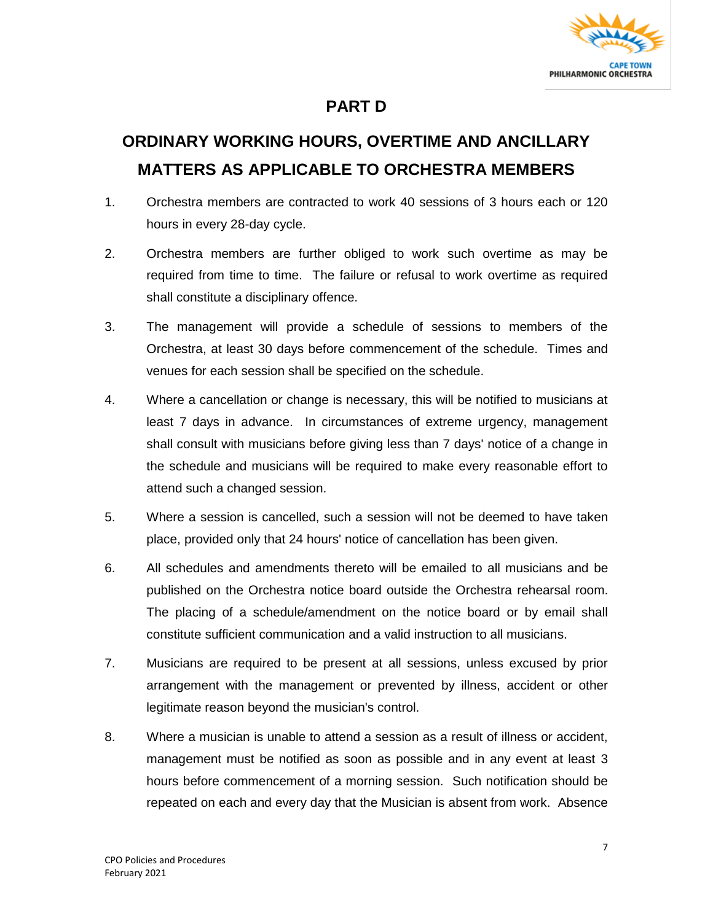

### **PART D**

## **ORDINARY WORKING HOURS, OVERTIME AND ANCILLARY MATTERS AS APPLICABLE TO ORCHESTRA MEMBERS**

- 1. Orchestra members are contracted to work 40 sessions of 3 hours each or 120 hours in every 28-day cycle.
- 2. Orchestra members are further obliged to work such overtime as may be required from time to time. The failure or refusal to work overtime as required shall constitute a disciplinary offence.
- 3. The management will provide a schedule of sessions to members of the Orchestra, at least 30 days before commencement of the schedule. Times and venues for each session shall be specified on the schedule.
- 4. Where a cancellation or change is necessary, this will be notified to musicians at least 7 days in advance. In circumstances of extreme urgency, management shall consult with musicians before giving less than 7 days' notice of a change in the schedule and musicians will be required to make every reasonable effort to attend such a changed session.
- 5. Where a session is cancelled, such a session will not be deemed to have taken place, provided only that 24 hours' notice of cancellation has been given.
- 6. All schedules and amendments thereto will be emailed to all musicians and be published on the Orchestra notice board outside the Orchestra rehearsal room. The placing of a schedule/amendment on the notice board or by email shall constitute sufficient communication and a valid instruction to all musicians.
- 7. Musicians are required to be present at all sessions, unless excused by prior arrangement with the management or prevented by illness, accident or other legitimate reason beyond the musician's control.
- 8. Where a musician is unable to attend a session as a result of illness or accident, management must be notified as soon as possible and in any event at least 3 hours before commencement of a morning session. Such notification should be repeated on each and every day that the Musician is absent from work. Absence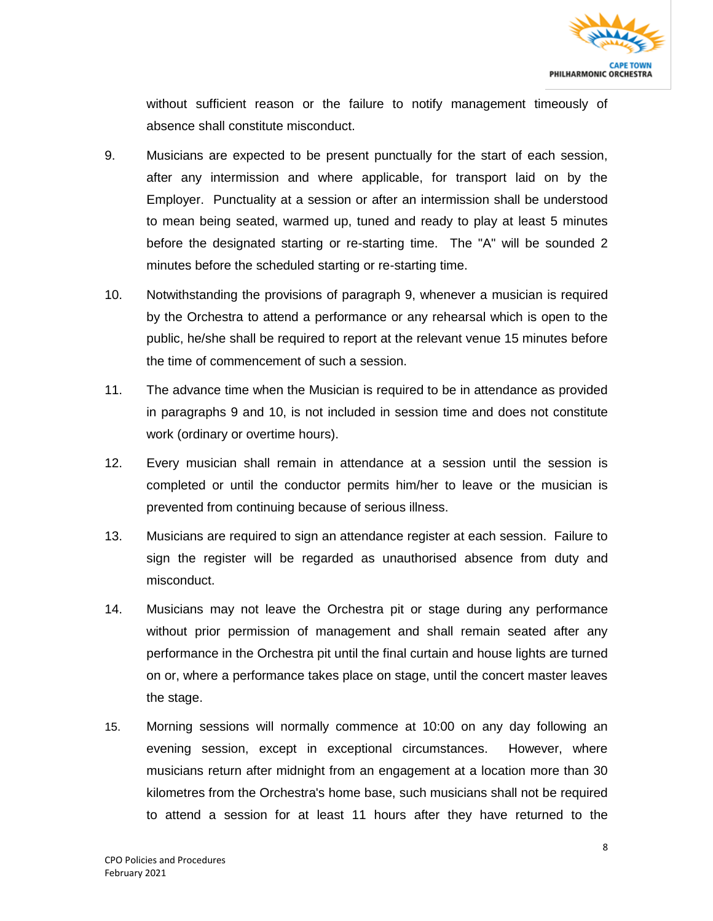

without sufficient reason or the failure to notify management timeously of absence shall constitute misconduct.

- 9. Musicians are expected to be present punctually for the start of each session, after any intermission and where applicable, for transport laid on by the Employer. Punctuality at a session or after an intermission shall be understood to mean being seated, warmed up, tuned and ready to play at least 5 minutes before the designated starting or re-starting time. The "A" will be sounded 2 minutes before the scheduled starting or re-starting time.
- 10. Notwithstanding the provisions of paragraph 9, whenever a musician is required by the Orchestra to attend a performance or any rehearsal which is open to the public, he/she shall be required to report at the relevant venue 15 minutes before the time of commencement of such a session.
- 11. The advance time when the Musician is required to be in attendance as provided in paragraphs 9 and 10, is not included in session time and does not constitute work (ordinary or overtime hours).
- 12. Every musician shall remain in attendance at a session until the session is completed or until the conductor permits him/her to leave or the musician is prevented from continuing because of serious illness.
- 13. Musicians are required to sign an attendance register at each session. Failure to sign the register will be regarded as unauthorised absence from duty and misconduct.
- 14. Musicians may not leave the Orchestra pit or stage during any performance without prior permission of management and shall remain seated after any performance in the Orchestra pit until the final curtain and house lights are turned on or, where a performance takes place on stage, until the concert master leaves the stage.
- 15. Morning sessions will normally commence at 10:00 on any day following an evening session, except in exceptional circumstances. However, where musicians return after midnight from an engagement at a location more than 30 kilometres from the Orchestra's home base, such musicians shall not be required to attend a session for at least 11 hours after they have returned to the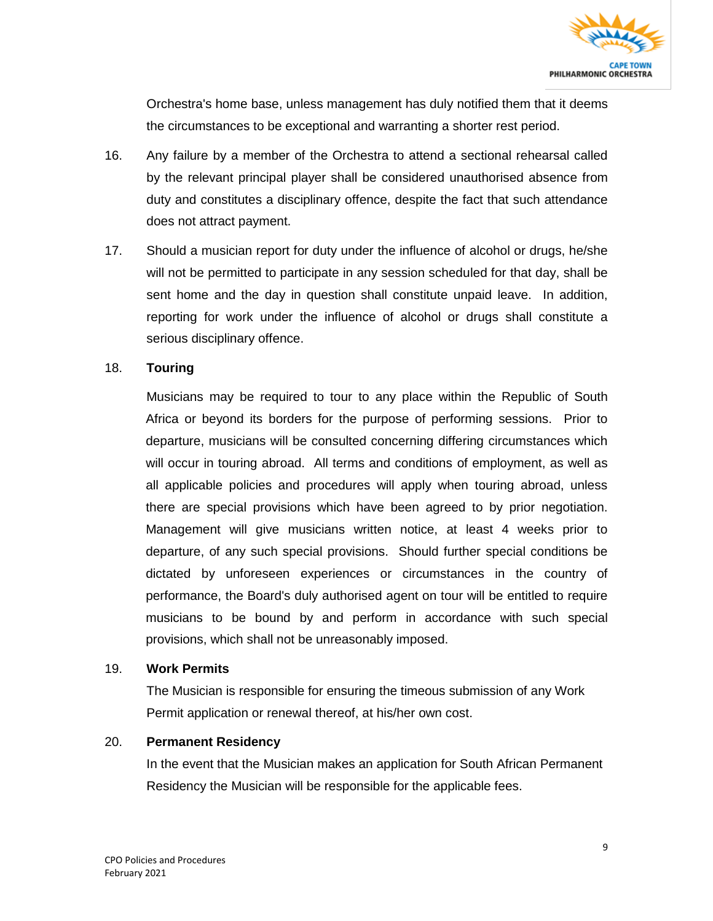

Orchestra's home base, unless management has duly notified them that it deems the circumstances to be exceptional and warranting a shorter rest period.

- 16. Any failure by a member of the Orchestra to attend a sectional rehearsal called by the relevant principal player shall be considered unauthorised absence from duty and constitutes a disciplinary offence, despite the fact that such attendance does not attract payment.
- 17. Should a musician report for duty under the influence of alcohol or drugs, he/she will not be permitted to participate in any session scheduled for that day, shall be sent home and the day in question shall constitute unpaid leave. In addition, reporting for work under the influence of alcohol or drugs shall constitute a serious disciplinary offence.

#### 18. **Touring**

Musicians may be required to tour to any place within the Republic of South Africa or beyond its borders for the purpose of performing sessions. Prior to departure, musicians will be consulted concerning differing circumstances which will occur in touring abroad. All terms and conditions of employment, as well as all applicable policies and procedures will apply when touring abroad, unless there are special provisions which have been agreed to by prior negotiation. Management will give musicians written notice, at least 4 weeks prior to departure, of any such special provisions. Should further special conditions be dictated by unforeseen experiences or circumstances in the country of performance, the Board's duly authorised agent on tour will be entitled to require musicians to be bound by and perform in accordance with such special provisions, which shall not be unreasonably imposed.

#### 19. **Work Permits**

The Musician is responsible for ensuring the timeous submission of any Work Permit application or renewal thereof, at his/her own cost.

#### 20. **Permanent Residency**

In the event that the Musician makes an application for South African Permanent Residency the Musician will be responsible for the applicable fees.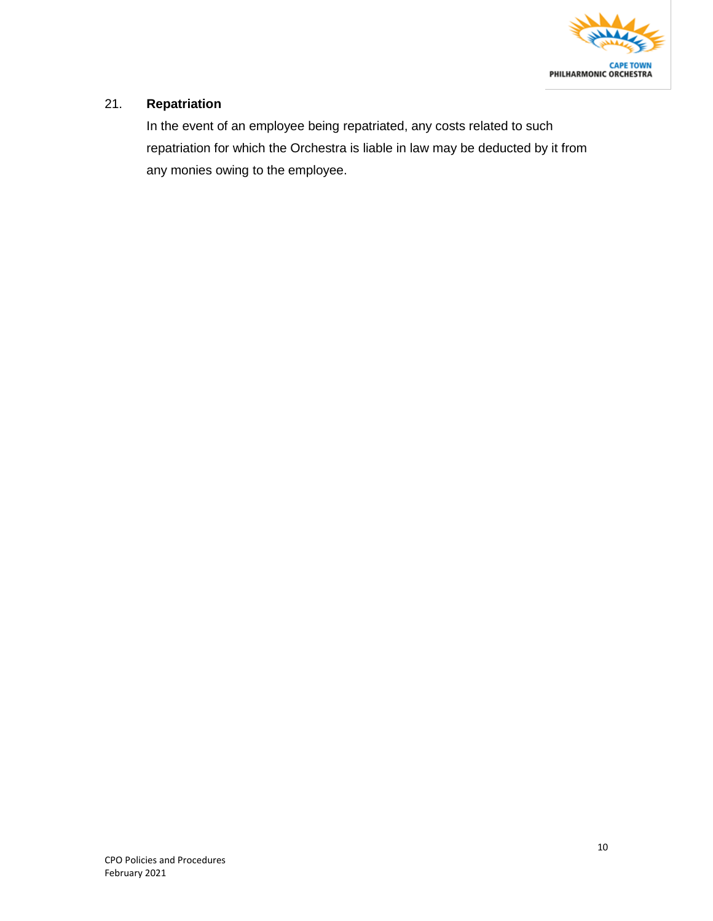

#### 21. **Repatriation**

In the event of an employee being repatriated, any costs related to such repatriation for which the Orchestra is liable in law may be deducted by it from any monies owing to the employee.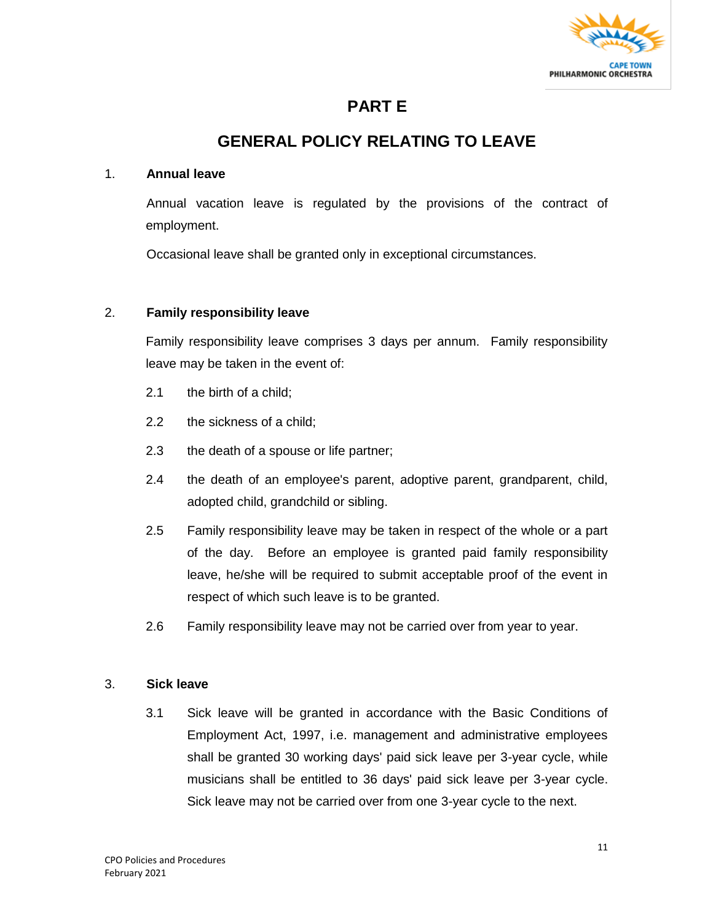

### **PART E**

### **GENERAL POLICY RELATING TO LEAVE**

#### 1. **Annual leave**

Annual vacation leave is regulated by the provisions of the contract of employment.

Occasional leave shall be granted only in exceptional circumstances.

#### 2. **Family responsibility leave**

Family responsibility leave comprises 3 days per annum. Family responsibility leave may be taken in the event of:

- 2.1 the birth of a child;
- 2.2 the sickness of a child;
- 2.3 the death of a spouse or life partner;
- 2.4 the death of an employee's parent, adoptive parent, grandparent, child, adopted child, grandchild or sibling.
- 2.5 Family responsibility leave may be taken in respect of the whole or a part of the day. Before an employee is granted paid family responsibility leave, he/she will be required to submit acceptable proof of the event in respect of which such leave is to be granted.
- 2.6 Family responsibility leave may not be carried over from year to year.

#### 3. **Sick leave**

3.1 Sick leave will be granted in accordance with the Basic Conditions of Employment Act, 1997, i.e. management and administrative employees shall be granted 30 working days' paid sick leave per 3-year cycle, while musicians shall be entitled to 36 days' paid sick leave per 3-year cycle. Sick leave may not be carried over from one 3-year cycle to the next.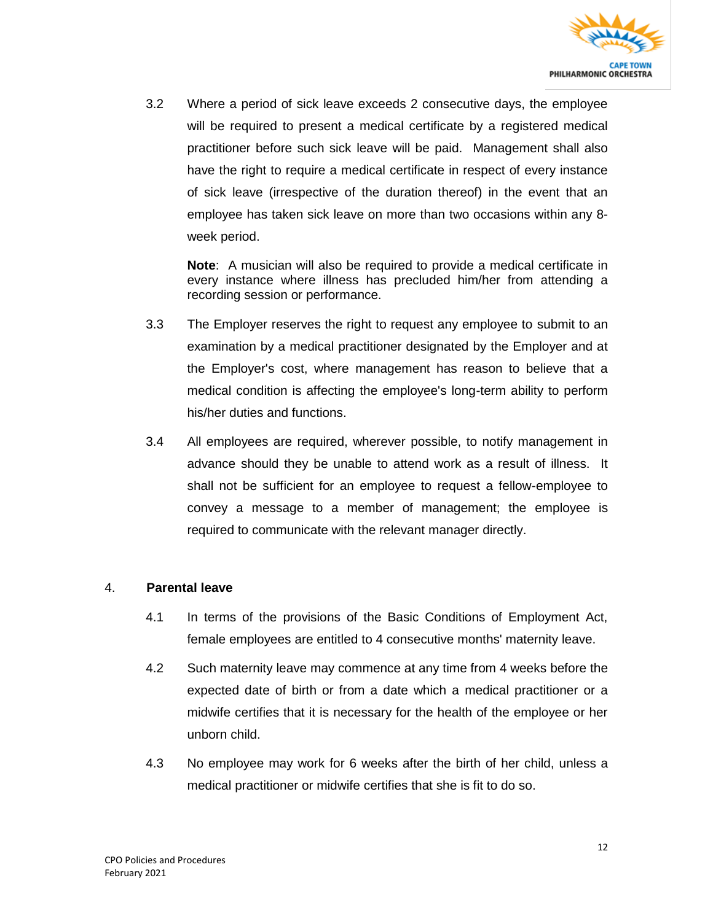

3.2 Where a period of sick leave exceeds 2 consecutive days, the employee will be required to present a medical certificate by a registered medical practitioner before such sick leave will be paid. Management shall also have the right to require a medical certificate in respect of every instance of sick leave (irrespective of the duration thereof) in the event that an employee has taken sick leave on more than two occasions within any 8 week period.

**Note**: A musician will also be required to provide a medical certificate in every instance where illness has precluded him/her from attending a recording session or performance.

- 3.3 The Employer reserves the right to request any employee to submit to an examination by a medical practitioner designated by the Employer and at the Employer's cost, where management has reason to believe that a medical condition is affecting the employee's long-term ability to perform his/her duties and functions.
- 3.4 All employees are required, wherever possible, to notify management in advance should they be unable to attend work as a result of illness. It shall not be sufficient for an employee to request a fellow-employee to convey a message to a member of management; the employee is required to communicate with the relevant manager directly.

#### 4. **Parental leave**

- 4.1 In terms of the provisions of the Basic Conditions of Employment Act, female employees are entitled to 4 consecutive months' maternity leave.
- 4.2 Such maternity leave may commence at any time from 4 weeks before the expected date of birth or from a date which a medical practitioner or a midwife certifies that it is necessary for the health of the employee or her unborn child.
- 4.3 No employee may work for 6 weeks after the birth of her child, unless a medical practitioner or midwife certifies that she is fit to do so.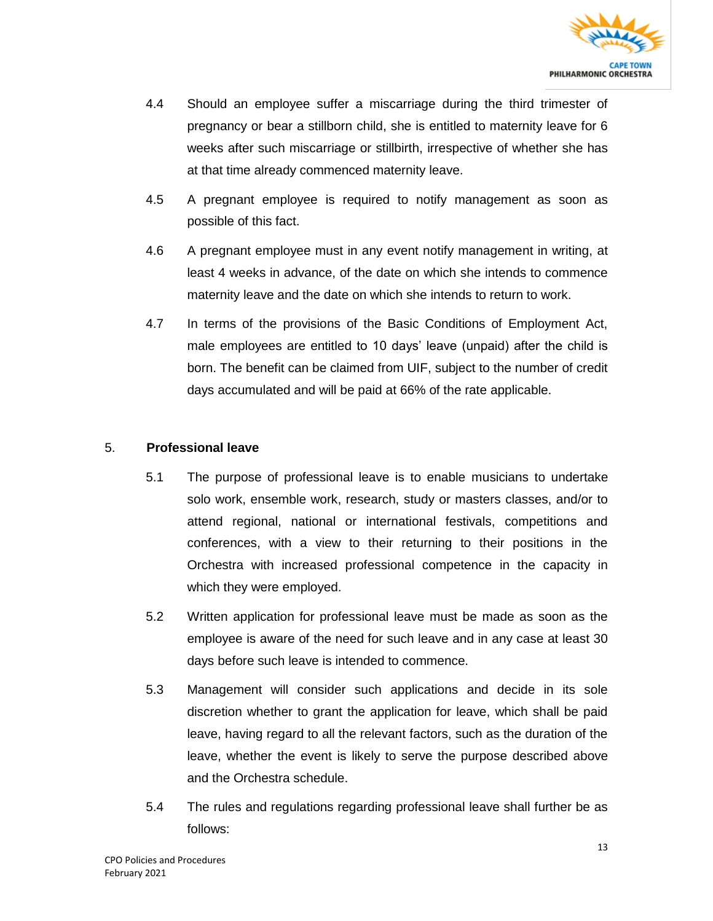

- 4.4 Should an employee suffer a miscarriage during the third trimester of pregnancy or bear a stillborn child, she is entitled to maternity leave for 6 weeks after such miscarriage or stillbirth, irrespective of whether she has at that time already commenced maternity leave.
- 4.5 A pregnant employee is required to notify management as soon as possible of this fact.
- 4.6 A pregnant employee must in any event notify management in writing, at least 4 weeks in advance, of the date on which she intends to commence maternity leave and the date on which she intends to return to work.
- 4.7 In terms of the provisions of the Basic Conditions of Employment Act, male employees are entitled to 10 days' leave (unpaid) after the child is born. The benefit can be claimed from UIF, subject to the number of credit days accumulated and will be paid at 66% of the rate applicable.

#### 5. **Professional leave**

- 5.1 The purpose of professional leave is to enable musicians to undertake solo work, ensemble work, research, study or masters classes, and/or to attend regional, national or international festivals, competitions and conferences, with a view to their returning to their positions in the Orchestra with increased professional competence in the capacity in which they were employed.
- 5.2 Written application for professional leave must be made as soon as the employee is aware of the need for such leave and in any case at least 30 days before such leave is intended to commence.
- 5.3 Management will consider such applications and decide in its sole discretion whether to grant the application for leave, which shall be paid leave, having regard to all the relevant factors, such as the duration of the leave, whether the event is likely to serve the purpose described above and the Orchestra schedule.
- 5.4 The rules and regulations regarding professional leave shall further be as follows: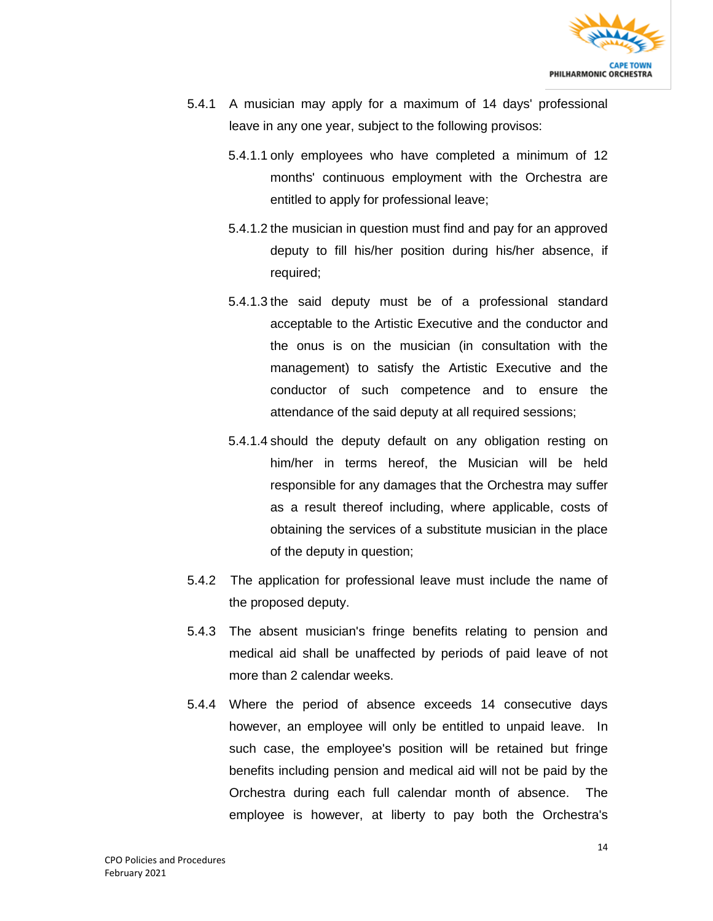

- 5.4.1 A musician may apply for a maximum of 14 days' professional leave in any one year, subject to the following provisos:
	- 5.4.1.1 only employees who have completed a minimum of 12 months' continuous employment with the Orchestra are entitled to apply for professional leave;
	- 5.4.1.2 the musician in question must find and pay for an approved deputy to fill his/her position during his/her absence, if required;
	- 5.4.1.3 the said deputy must be of a professional standard acceptable to the Artistic Executive and the conductor and the onus is on the musician (in consultation with the management) to satisfy the Artistic Executive and the conductor of such competence and to ensure the attendance of the said deputy at all required sessions;
	- 5.4.1.4 should the deputy default on any obligation resting on him/her in terms hereof, the Musician will be held responsible for any damages that the Orchestra may suffer as a result thereof including, where applicable, costs of obtaining the services of a substitute musician in the place of the deputy in question;
- 5.4.2 The application for professional leave must include the name of the proposed deputy.
- 5.4.3 The absent musician's fringe benefits relating to pension and medical aid shall be unaffected by periods of paid leave of not more than 2 calendar weeks.
- 5.4.4 Where the period of absence exceeds 14 consecutive days however, an employee will only be entitled to unpaid leave. In such case, the employee's position will be retained but fringe benefits including pension and medical aid will not be paid by the Orchestra during each full calendar month of absence. The employee is however, at liberty to pay both the Orchestra's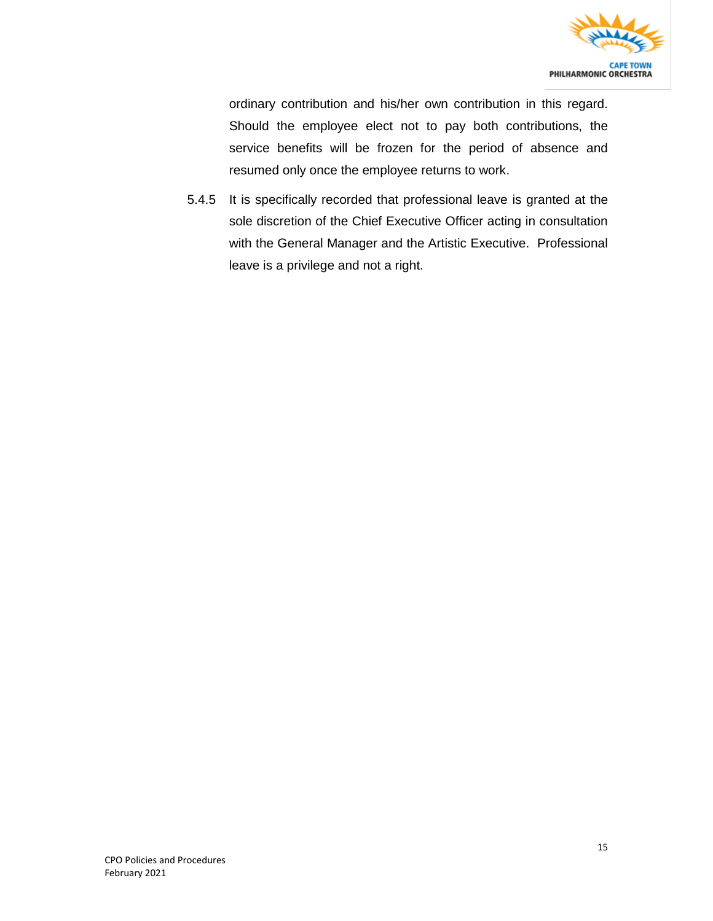

ordinary contribution and his/her own contribution in this regard. Should the employee elect not to pay both contributions, the service benefits will be frozen for the period of absence and resumed only once the employee returns to work.

5.4.5 It is specifically recorded that professional leave is granted at the sole discretion of the Chief Executive Officer acting in consultation with the General Manager and the Artistic Executive. Professional leave is a privilege and not a right.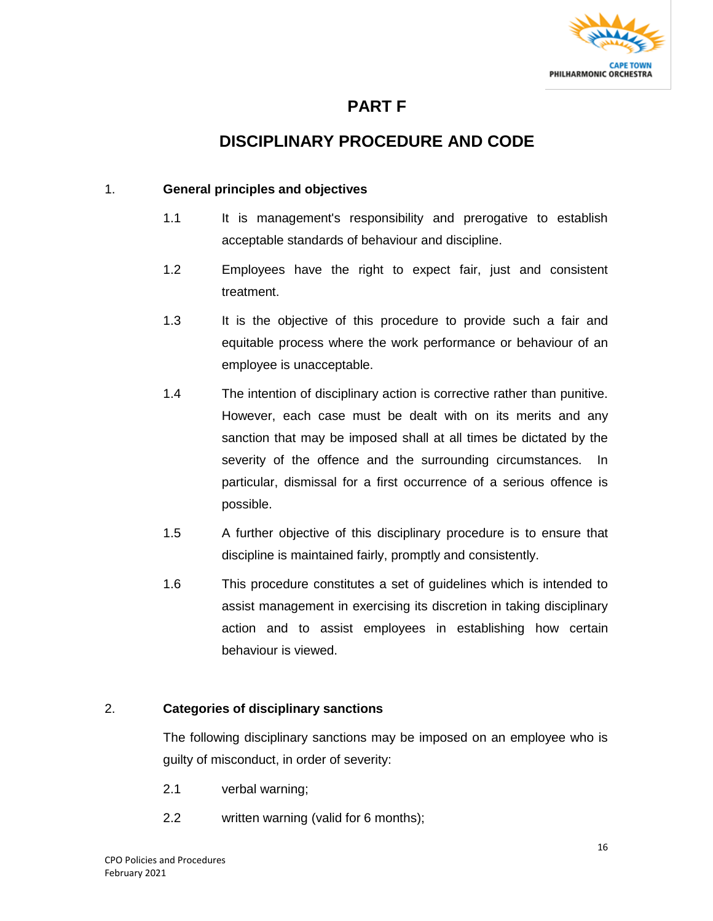

### **PART F**

### **DISCIPLINARY PROCEDURE AND CODE**

#### 1. **General principles and objectives**

- 1.1 It is management's responsibility and prerogative to establish acceptable standards of behaviour and discipline.
- 1.2 Employees have the right to expect fair, just and consistent treatment.
- 1.3 It is the objective of this procedure to provide such a fair and equitable process where the work performance or behaviour of an employee is unacceptable.
- 1.4 The intention of disciplinary action is corrective rather than punitive. However, each case must be dealt with on its merits and any sanction that may be imposed shall at all times be dictated by the severity of the offence and the surrounding circumstances. In particular, dismissal for a first occurrence of a serious offence is possible.
- 1.5 A further objective of this disciplinary procedure is to ensure that discipline is maintained fairly, promptly and consistently.
- 1.6 This procedure constitutes a set of guidelines which is intended to assist management in exercising its discretion in taking disciplinary action and to assist employees in establishing how certain behaviour is viewed.

#### 2. **Categories of disciplinary sanctions**

The following disciplinary sanctions may be imposed on an employee who is guilty of misconduct, in order of severity:

- 2.1 verbal warning;
- 2.2 written warning (valid for 6 months);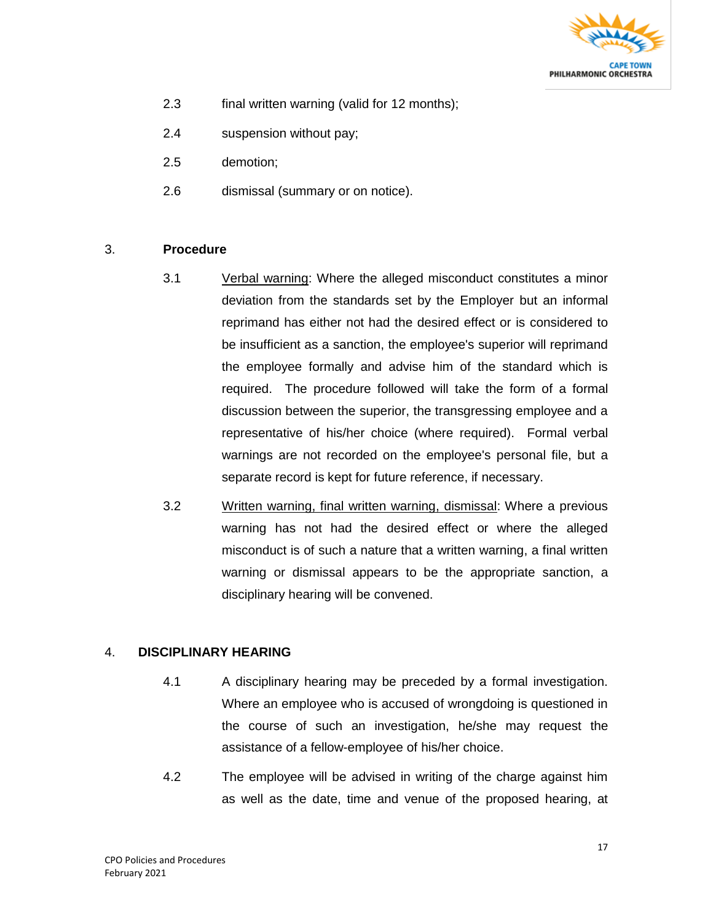

- 2.3 final written warning (valid for 12 months);
- 2.4 suspension without pay;
- 2.5 demotion;
- 2.6 dismissal (summary or on notice).

#### 3. **Procedure**

- 3.1 Verbal warning: Where the alleged misconduct constitutes a minor deviation from the standards set by the Employer but an informal reprimand has either not had the desired effect or is considered to be insufficient as a sanction, the employee's superior will reprimand the employee formally and advise him of the standard which is required. The procedure followed will take the form of a formal discussion between the superior, the transgressing employee and a representative of his/her choice (where required). Formal verbal warnings are not recorded on the employee's personal file, but a separate record is kept for future reference, if necessary.
- 3.2 Written warning, final written warning, dismissal: Where a previous warning has not had the desired effect or where the alleged misconduct is of such a nature that a written warning, a final written warning or dismissal appears to be the appropriate sanction, a disciplinary hearing will be convened.

#### 4. **DISCIPLINARY HEARING**

- 4.1 A disciplinary hearing may be preceded by a formal investigation. Where an employee who is accused of wrongdoing is questioned in the course of such an investigation, he/she may request the assistance of a fellow-employee of his/her choice.
- 4.2 The employee will be advised in writing of the charge against him as well as the date, time and venue of the proposed hearing, at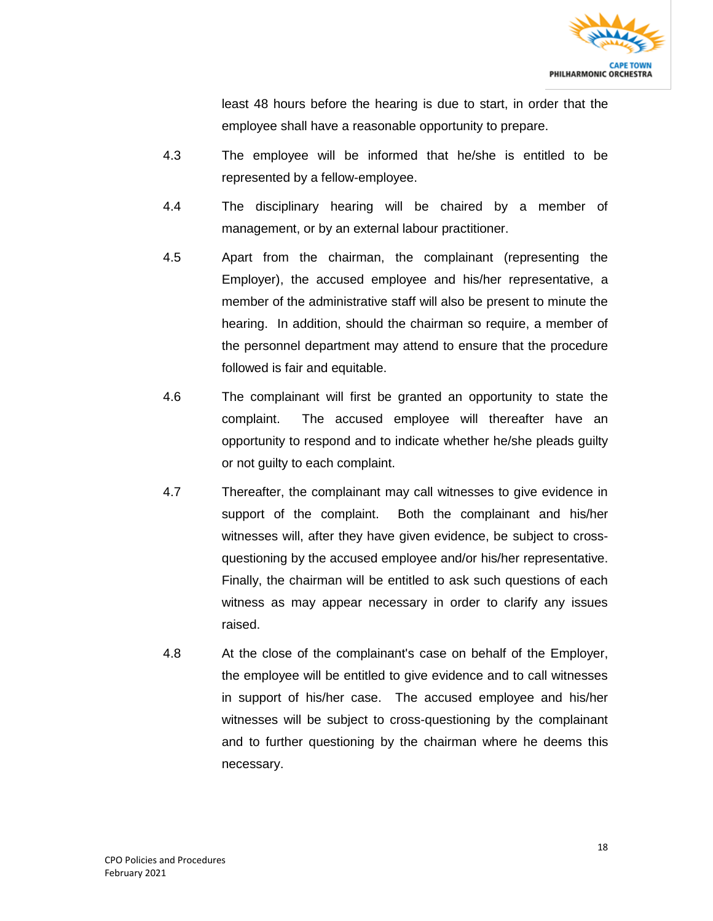

least 48 hours before the hearing is due to start, in order that the employee shall have a reasonable opportunity to prepare.

- 4.3 The employee will be informed that he/she is entitled to be represented by a fellow-employee.
- 4.4 The disciplinary hearing will be chaired by a member of management, or by an external labour practitioner.
- 4.5 Apart from the chairman, the complainant (representing the Employer), the accused employee and his/her representative, a member of the administrative staff will also be present to minute the hearing. In addition, should the chairman so require, a member of the personnel department may attend to ensure that the procedure followed is fair and equitable.
- 4.6 The complainant will first be granted an opportunity to state the complaint. The accused employee will thereafter have an opportunity to respond and to indicate whether he/she pleads guilty or not guilty to each complaint.
- 4.7 Thereafter, the complainant may call witnesses to give evidence in support of the complaint. Both the complainant and his/her witnesses will, after they have given evidence, be subject to crossquestioning by the accused employee and/or his/her representative. Finally, the chairman will be entitled to ask such questions of each witness as may appear necessary in order to clarify any issues raised.
- 4.8 At the close of the complainant's case on behalf of the Employer, the employee will be entitled to give evidence and to call witnesses in support of his/her case. The accused employee and his/her witnesses will be subject to cross-questioning by the complainant and to further questioning by the chairman where he deems this necessary.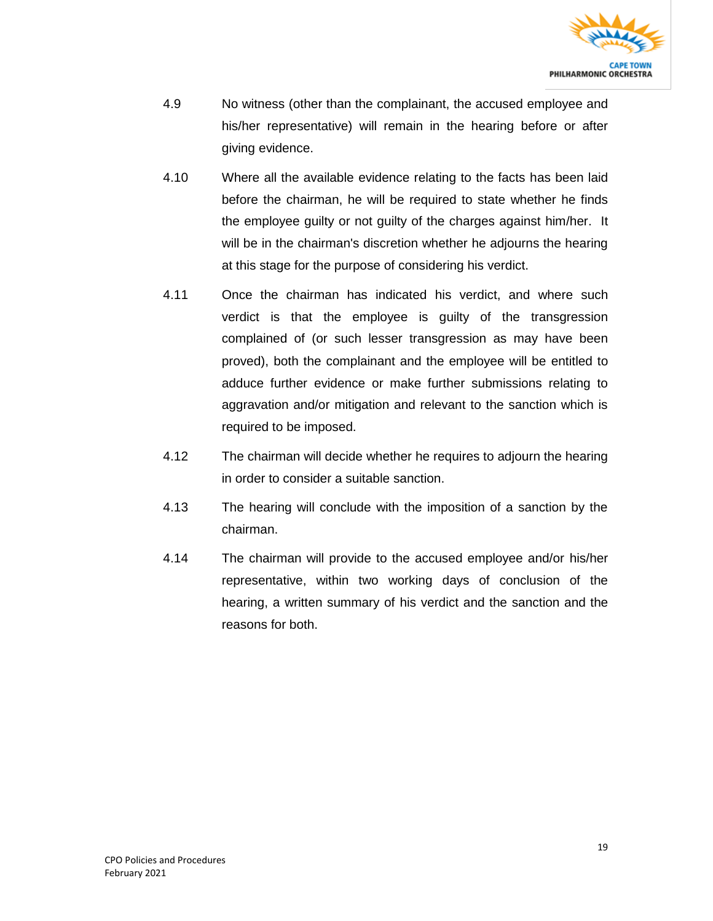

- 4.9 No witness (other than the complainant, the accused employee and his/her representative) will remain in the hearing before or after giving evidence.
- 4.10 Where all the available evidence relating to the facts has been laid before the chairman, he will be required to state whether he finds the employee guilty or not guilty of the charges against him/her. It will be in the chairman's discretion whether he adjourns the hearing at this stage for the purpose of considering his verdict.
- 4.11 Once the chairman has indicated his verdict, and where such verdict is that the employee is guilty of the transgression complained of (or such lesser transgression as may have been proved), both the complainant and the employee will be entitled to adduce further evidence or make further submissions relating to aggravation and/or mitigation and relevant to the sanction which is required to be imposed.
- 4.12 The chairman will decide whether he requires to adjourn the hearing in order to consider a suitable sanction.
- 4.13 The hearing will conclude with the imposition of a sanction by the chairman.
- 4.14 The chairman will provide to the accused employee and/or his/her representative, within two working days of conclusion of the hearing, a written summary of his verdict and the sanction and the reasons for both.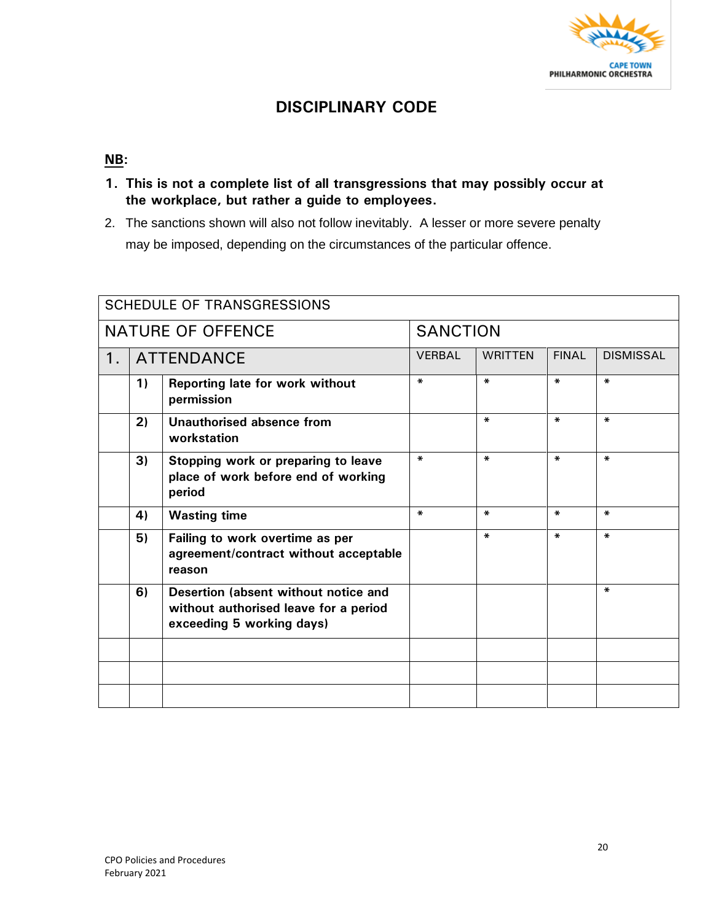

### **DISCIPLINARY CODE**

#### **NB:**

- **1. This is not a complete list of all transgressions that may possibly occur at the workplace, but rather a guide to employees.**
- 2. The sanctions shown will also not follow inevitably. A lesser or more severe penalty may be imposed, depending on the circumstances of the particular offence.

| <b>SCHEDULE OF TRANSGRESSIONS</b> |                   |                                                                                                            |               |                |              |                  |
|-----------------------------------|-------------------|------------------------------------------------------------------------------------------------------------|---------------|----------------|--------------|------------------|
| <b>NATURE OF OFFENCE</b>          |                   | <b>SANCTION</b>                                                                                            |               |                |              |                  |
| 1.                                | <b>ATTENDANCE</b> |                                                                                                            | <b>VERBAL</b> | <b>WRITTEN</b> | <b>FINAL</b> | <b>DISMISSAL</b> |
|                                   | 1)                | Reporting late for work without<br>permission                                                              | $\ast$        | $\ast$         | ¥.           | $\star$          |
|                                   | 2)                | Unauthorised absence from<br>workstation                                                                   |               | $\mathbf{x}$   | $\ast$       | $\star$          |
|                                   | 3)                | Stopping work or preparing to leave<br>place of work before end of working<br>period                       | $\ast$        | $\ast$         | $\ast$       | ¥.               |
|                                   | 4)                | <b>Wasting time</b>                                                                                        | $\ast$        | $\ast$         | *            | $\ast$           |
|                                   | 5)                | Failing to work overtime as per<br>agreement/contract without acceptable<br>reason                         |               | $\ast$         | ∗.           | $\ast$           |
|                                   | 6)                | Desertion (absent without notice and<br>without authorised leave for a period<br>exceeding 5 working days) |               |                |              | $\ast$           |
|                                   |                   |                                                                                                            |               |                |              |                  |
|                                   |                   |                                                                                                            |               |                |              |                  |
|                                   |                   |                                                                                                            |               |                |              |                  |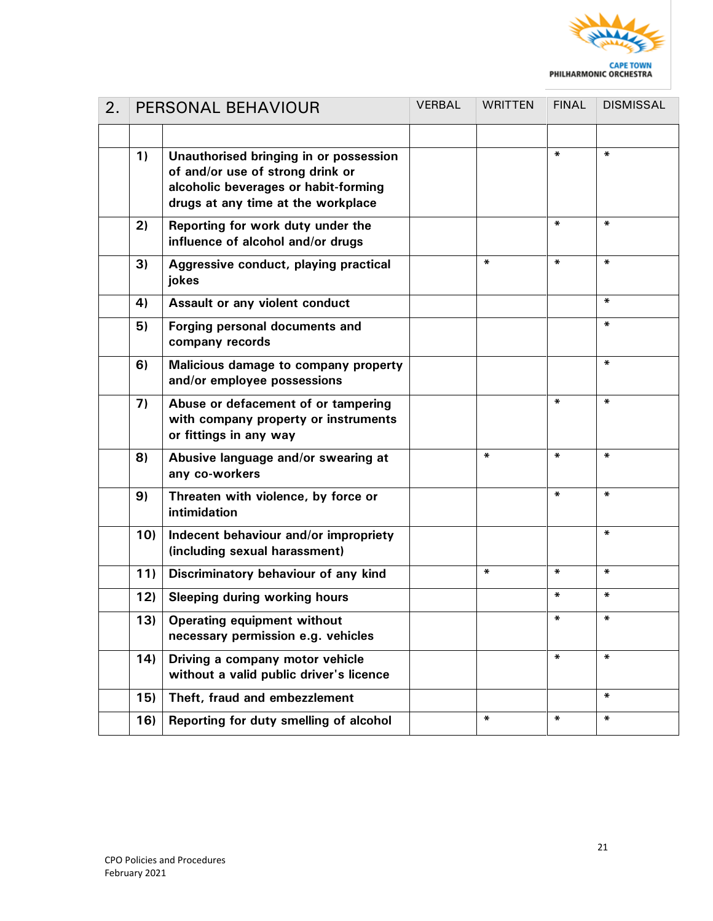

| 2. | PERSONAL BEHAVIOUR |                                                                                                                                                          | VERBAL | <b>WRITTEN</b> | <b>FINAL</b> | <b>DISMISSAL</b> |
|----|--------------------|----------------------------------------------------------------------------------------------------------------------------------------------------------|--------|----------------|--------------|------------------|
|    |                    |                                                                                                                                                          |        |                |              |                  |
|    | 1)                 | Unauthorised bringing in or possession<br>of and/or use of strong drink or<br>alcoholic beverages or habit-forming<br>drugs at any time at the workplace |        |                | *            | $\ast$           |
|    | 2)                 | Reporting for work duty under the<br>influence of alcohol and/or drugs                                                                                   |        |                | ∗            | $\pmb{\ast}$     |
|    | 3)                 | Aggressive conduct, playing practical<br>jokes                                                                                                           |        | $\ast$         | ₩            | $\pmb{\ast}$     |
|    | 4)                 | Assault or any violent conduct                                                                                                                           |        |                |              | $\ast$           |
|    | 5)                 | Forging personal documents and<br>company records                                                                                                        |        |                |              | $\ast$           |
|    | 6)                 | Malicious damage to company property<br>and/or employee possessions                                                                                      |        |                |              | *                |
|    | 7)                 | Abuse or defacement of or tampering<br>with company property or instruments<br>or fittings in any way                                                    |        |                | ∗            | $\ast$           |
|    | 8)                 | Abusive language and/or swearing at<br>any co-workers                                                                                                    |        | $\pmb{\ast}$   | *            | $\ast$           |
|    | 9)                 | Threaten with violence, by force or<br>intimidation                                                                                                      |        |                | ₩            | $\pmb{\ast}$     |
|    | 10)                | Indecent behaviour and/or impropriety<br>(including sexual harassment)                                                                                   |        |                |              | *                |
|    | 11)                | Discriminatory behaviour of any kind                                                                                                                     |        | $\pmb{\ast}$   | ₩            | $\pmb{\ast}$     |
|    | 12)                | <b>Sleeping during working hours</b>                                                                                                                     |        |                | ∗            | *                |
|    | 13)                | Operating equipment without<br>necessary permission e.g. vehicles                                                                                        |        |                | $\ast$       | $\pmb{\ast}$     |
|    | 14)                | Driving a company motor vehicle<br>without a valid public driver's licence                                                                               |        |                | ∗            | $\pmb{\ast}$     |
|    | 15)                | Theft, fraud and embezzlement                                                                                                                            |        |                |              | $\ast$           |
|    | 16)                | Reporting for duty smelling of alcohol                                                                                                                   |        | *              | *            | $\ast$           |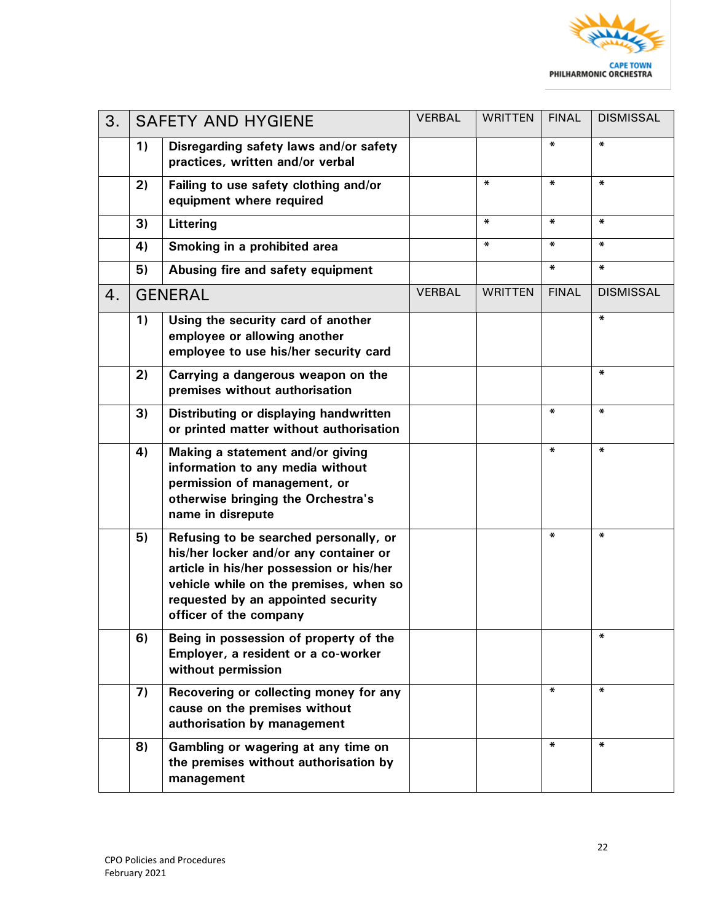

| 3. | <b>SAFETY AND HYGIENE</b> |                                                                                                                                                                                                                                        | VERBAL | <b>WRITTEN</b> | <b>FINAL</b> | <b>DISMISSAL</b> |
|----|---------------------------|----------------------------------------------------------------------------------------------------------------------------------------------------------------------------------------------------------------------------------------|--------|----------------|--------------|------------------|
|    | 1)                        | Disregarding safety laws and/or safety<br>practices, written and/or verbal                                                                                                                                                             |        |                | $\ast$       | ∗                |
|    | 2)                        | Failing to use safety clothing and/or<br>equipment where required                                                                                                                                                                      |        | $\pmb{\ast}$   | $\ast$       | ∗                |
|    | 3)                        | Littering                                                                                                                                                                                                                              |        | $\pmb{\ast}$   | $\pmb{\ast}$ | *                |
|    | 4)                        | Smoking in a prohibited area                                                                                                                                                                                                           |        | $\pmb{\ast}$   | $\pmb{\ast}$ | *                |
|    | 5)                        | Abusing fire and safety equipment                                                                                                                                                                                                      |        |                | $\pmb{\ast}$ | ∗                |
| 4. |                           | <b>GENERAL</b>                                                                                                                                                                                                                         |        | <b>WRITTEN</b> | <b>FINAL</b> | <b>DISMISSAL</b> |
|    | 1)                        | Using the security card of another<br>employee or allowing another<br>employee to use his/her security card                                                                                                                            |        |                |              | *                |
|    | 2)                        | Carrying a dangerous weapon on the<br>premises without authorisation                                                                                                                                                                   |        |                |              | ∗                |
|    | 3)                        | Distributing or displaying handwritten<br>or printed matter without authorisation                                                                                                                                                      |        |                | $\pmb{\ast}$ | ∗                |
|    | 4)                        | Making a statement and/or giving<br>information to any media without<br>permission of management, or<br>otherwise bringing the Orchestra's<br>name in disrepute                                                                        |        |                | $\ast$       | ∗                |
|    | 5)                        | Refusing to be searched personally, or<br>his/her locker and/or any container or<br>article in his/her possession or his/her<br>vehicle while on the premises, when so<br>requested by an appointed security<br>officer of the company |        |                | *            | *                |
|    | 6)                        | Being in possession of property of the<br>Employer, a resident or a co-worker<br>without permission                                                                                                                                    |        |                |              | ∗                |
|    | 7)                        | Recovering or collecting money for any<br>cause on the premises without<br>authorisation by management                                                                                                                                 |        |                | $\ast$       | ∗                |
|    | 8)                        | Gambling or wagering at any time on<br>the premises without authorisation by<br>management                                                                                                                                             |        |                | $\pmb{\ast}$ | ∗                |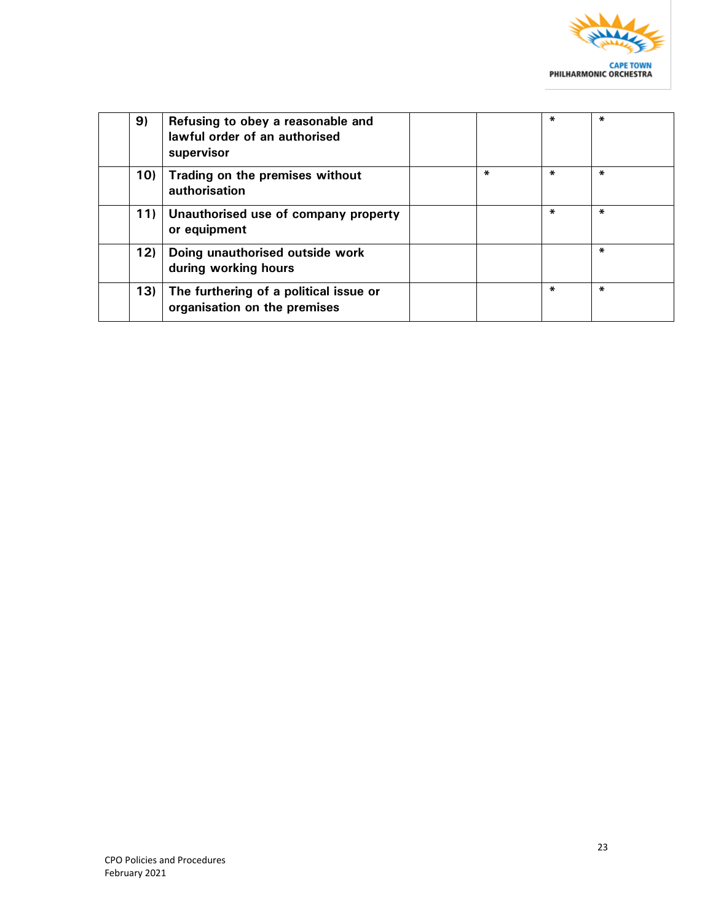

| 9)  | Refusing to obey a reasonable and<br>lawful order of an authorised<br>supervisor |        | ÷.     | ∗ |
|-----|----------------------------------------------------------------------------------|--------|--------|---|
| 10) | Trading on the premises without<br>authorisation                                 | $\ast$ | *      | ∗ |
| 11) | Unauthorised use of company property<br>or equipment                             |        | $\ast$ | ∗ |
| 12) | Doing unauthorised outside work<br>during working hours                          |        |        | ∗ |
| 13) | The furthering of a political issue or<br>organisation on the premises           |        | *      | ∗ |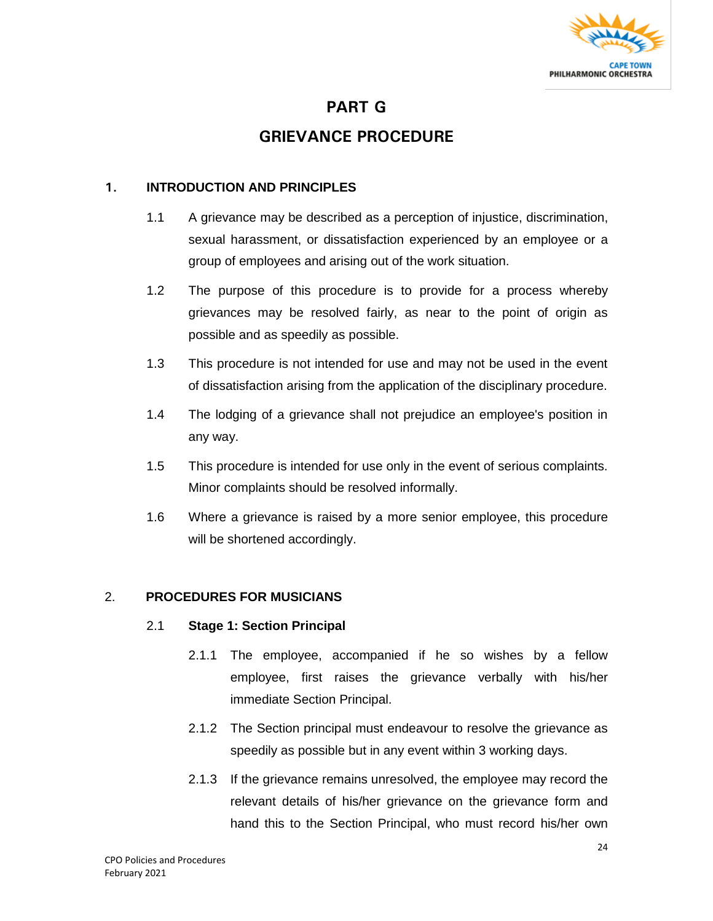

### **PART G**

### **GRIEVANCE PROCEDURE**

#### **1. INTRODUCTION AND PRINCIPLES**

- 1.1 A grievance may be described as a perception of injustice, discrimination, sexual harassment, or dissatisfaction experienced by an employee or a group of employees and arising out of the work situation.
- 1.2 The purpose of this procedure is to provide for a process whereby grievances may be resolved fairly, as near to the point of origin as possible and as speedily as possible.
- 1.3 This procedure is not intended for use and may not be used in the event of dissatisfaction arising from the application of the disciplinary procedure.
- 1.4 The lodging of a grievance shall not prejudice an employee's position in any way.
- 1.5 This procedure is intended for use only in the event of serious complaints. Minor complaints should be resolved informally.
- 1.6 Where a grievance is raised by a more senior employee, this procedure will be shortened accordingly.

#### 2. **PROCEDURES FOR MUSICIANS**

#### 2.1 **Stage 1: Section Principal**

- 2.1.1 The employee, accompanied if he so wishes by a fellow employee, first raises the grievance verbally with his/her immediate Section Principal.
- 2.1.2 The Section principal must endeavour to resolve the grievance as speedily as possible but in any event within 3 working days.
- 2.1.3 If the grievance remains unresolved, the employee may record the relevant details of his/her grievance on the grievance form and hand this to the Section Principal, who must record his/her own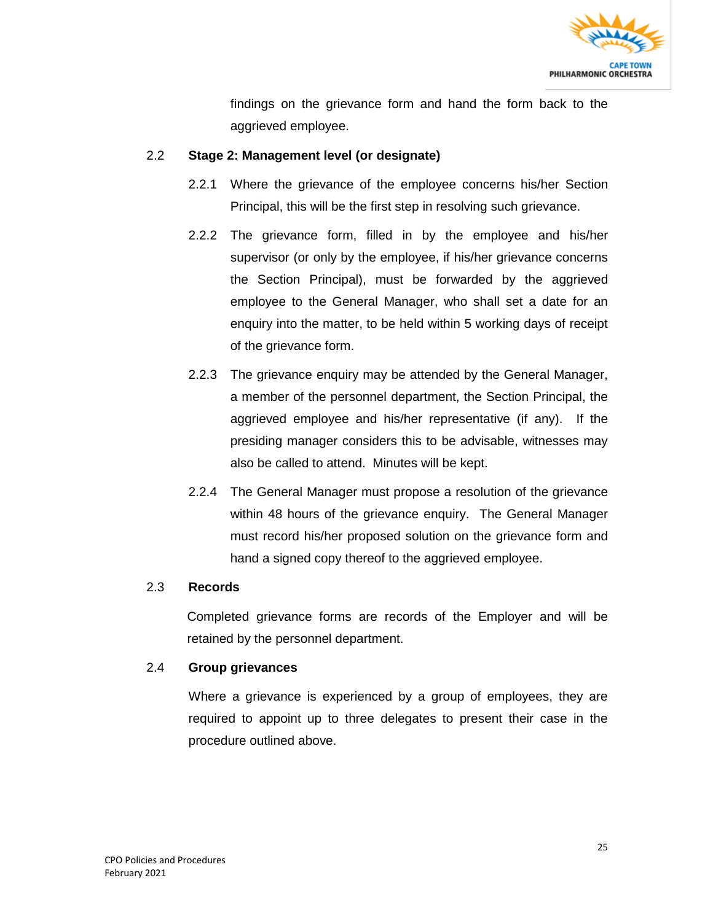

findings on the grievance form and hand the form back to the aggrieved employee.

#### 2.2 **Stage 2: Management level (or designate)**

- 2.2.1 Where the grievance of the employee concerns his/her Section Principal, this will be the first step in resolving such grievance.
- 2.2.2 The grievance form, filled in by the employee and his/her supervisor (or only by the employee, if his/her grievance concerns the Section Principal), must be forwarded by the aggrieved employee to the General Manager, who shall set a date for an enquiry into the matter, to be held within 5 working days of receipt of the grievance form.
- 2.2.3 The grievance enquiry may be attended by the General Manager, a member of the personnel department, the Section Principal, the aggrieved employee and his/her representative (if any). If the presiding manager considers this to be advisable, witnesses may also be called to attend. Minutes will be kept.
- 2.2.4 The General Manager must propose a resolution of the grievance within 48 hours of the grievance enquiry. The General Manager must record his/her proposed solution on the grievance form and hand a signed copy thereof to the aggrieved employee.

#### 2.3 **Records**

Completed grievance forms are records of the Employer and will be retained by the personnel department.

#### 2.4 **Group grievances**

Where a grievance is experienced by a group of employees, they are required to appoint up to three delegates to present their case in the procedure outlined above.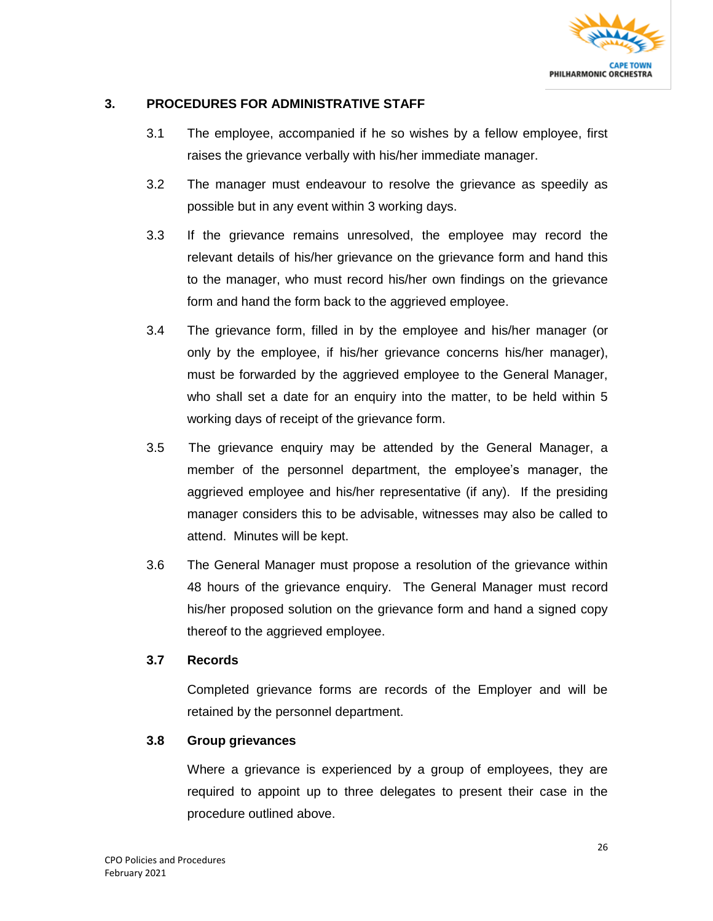

#### **3. PROCEDURES FOR ADMINISTRATIVE STAFF**

- 3.1 The employee, accompanied if he so wishes by a fellow employee, first raises the grievance verbally with his/her immediate manager.
- 3.2 The manager must endeavour to resolve the grievance as speedily as possible but in any event within 3 working days.
- 3.3 If the grievance remains unresolved, the employee may record the relevant details of his/her grievance on the grievance form and hand this to the manager, who must record his/her own findings on the grievance form and hand the form back to the aggrieved employee.
- 3.4 The grievance form, filled in by the employee and his/her manager (or only by the employee, if his/her grievance concerns his/her manager), must be forwarded by the aggrieved employee to the General Manager, who shall set a date for an enquiry into the matter, to be held within 5 working days of receipt of the grievance form.
- 3.5 The grievance enquiry may be attended by the General Manager, a member of the personnel department, the employee's manager, the aggrieved employee and his/her representative (if any). If the presiding manager considers this to be advisable, witnesses may also be called to attend. Minutes will be kept.
- 3.6 The General Manager must propose a resolution of the grievance within 48 hours of the grievance enquiry. The General Manager must record his/her proposed solution on the grievance form and hand a signed copy thereof to the aggrieved employee.

#### **3.7 Records**

Completed grievance forms are records of the Employer and will be retained by the personnel department.

#### **3.8 Group grievances**

Where a grievance is experienced by a group of employees, they are required to appoint up to three delegates to present their case in the procedure outlined above.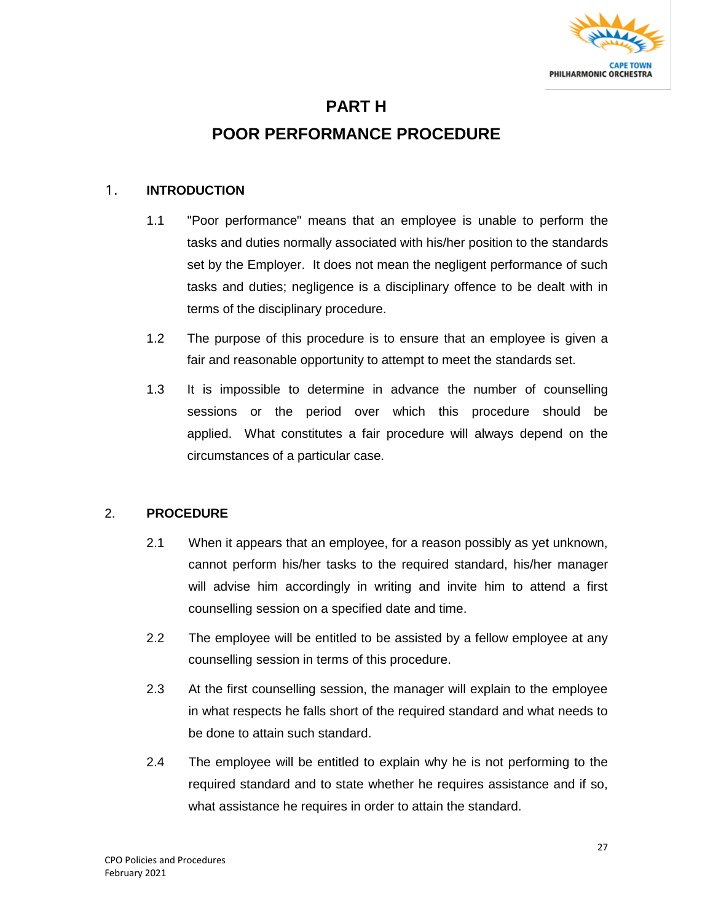

### **PART H**

### **POOR PERFORMANCE PROCEDURE**

#### 1. **INTRODUCTION**

- 1.1 "Poor performance" means that an employee is unable to perform the tasks and duties normally associated with his/her position to the standards set by the Employer. It does not mean the negligent performance of such tasks and duties; negligence is a disciplinary offence to be dealt with in terms of the disciplinary procedure.
- 1.2 The purpose of this procedure is to ensure that an employee is given a fair and reasonable opportunity to attempt to meet the standards set.
- 1.3 It is impossible to determine in advance the number of counselling sessions or the period over which this procedure should be applied. What constitutes a fair procedure will always depend on the circumstances of a particular case.

#### 2. **PROCEDURE**

- 2.1 When it appears that an employee, for a reason possibly as yet unknown, cannot perform his/her tasks to the required standard, his/her manager will advise him accordingly in writing and invite him to attend a first counselling session on a specified date and time.
- 2.2 The employee will be entitled to be assisted by a fellow employee at any counselling session in terms of this procedure.
- 2.3 At the first counselling session, the manager will explain to the employee in what respects he falls short of the required standard and what needs to be done to attain such standard.
- 2.4 The employee will be entitled to explain why he is not performing to the required standard and to state whether he requires assistance and if so, what assistance he requires in order to attain the standard.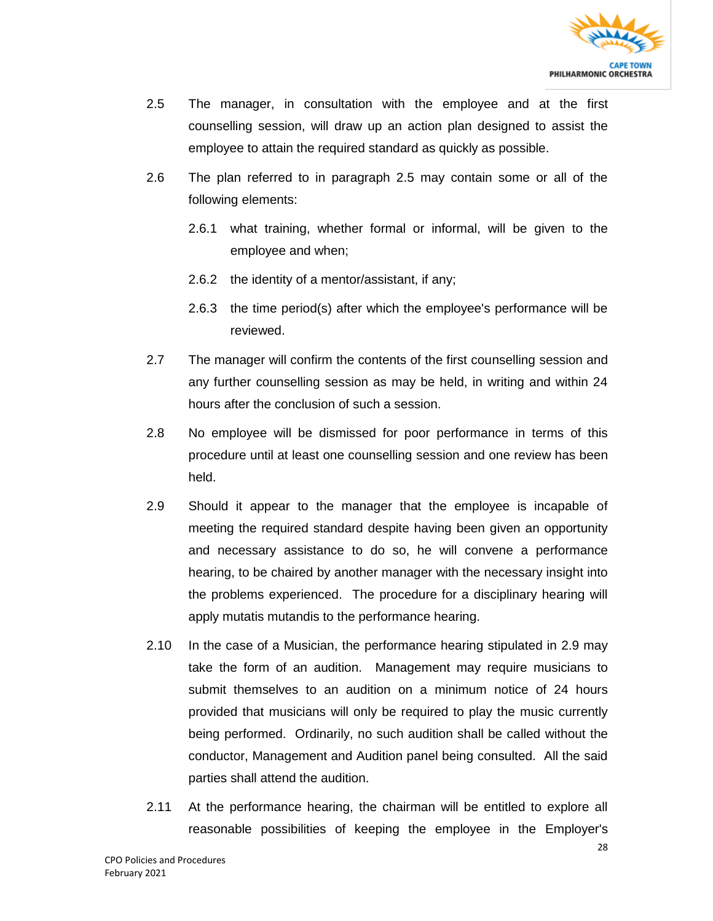

- 2.5 The manager, in consultation with the employee and at the first counselling session, will draw up an action plan designed to assist the employee to attain the required standard as quickly as possible.
- 2.6 The plan referred to in paragraph 2.5 may contain some or all of the following elements:
	- 2.6.1 what training, whether formal or informal, will be given to the employee and when;
	- 2.6.2 the identity of a mentor/assistant, if any;
	- 2.6.3 the time period(s) after which the employee's performance will be reviewed.
- 2.7 The manager will confirm the contents of the first counselling session and any further counselling session as may be held, in writing and within 24 hours after the conclusion of such a session.
- 2.8 No employee will be dismissed for poor performance in terms of this procedure until at least one counselling session and one review has been held.
- 2.9 Should it appear to the manager that the employee is incapable of meeting the required standard despite having been given an opportunity and necessary assistance to do so, he will convene a performance hearing, to be chaired by another manager with the necessary insight into the problems experienced. The procedure for a disciplinary hearing will apply mutatis mutandis to the performance hearing.
- 2.10 In the case of a Musician, the performance hearing stipulated in 2.9 may take the form of an audition. Management may require musicians to submit themselves to an audition on a minimum notice of 24 hours provided that musicians will only be required to play the music currently being performed. Ordinarily, no such audition shall be called without the conductor, Management and Audition panel being consulted. All the said parties shall attend the audition.
- 2.11 At the performance hearing, the chairman will be entitled to explore all reasonable possibilities of keeping the employee in the Employer's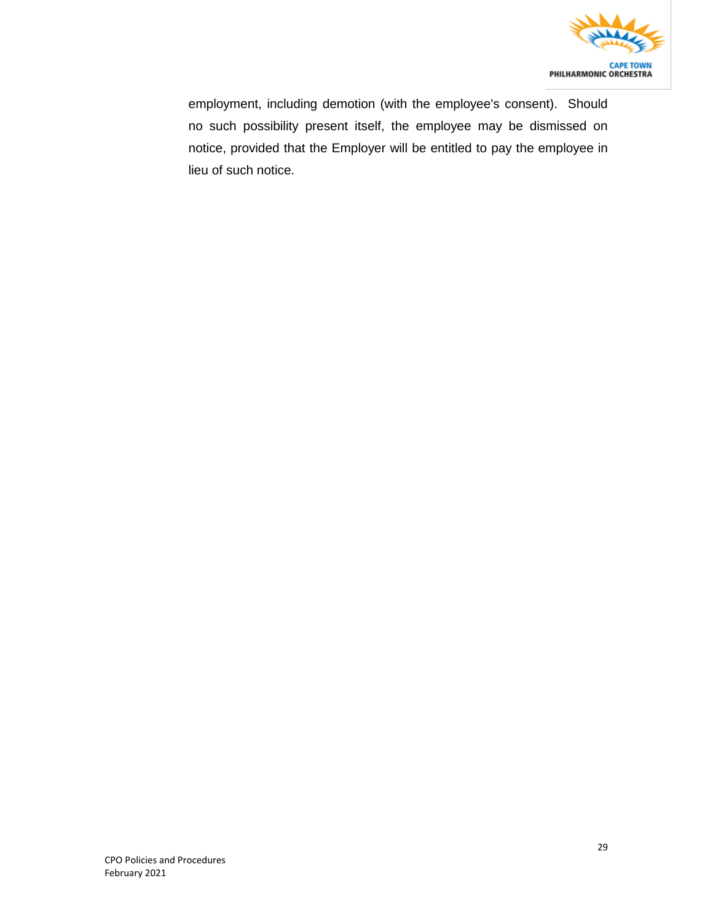

employment, including demotion (with the employee's consent). Should no such possibility present itself, the employee may be dismissed on notice, provided that the Employer will be entitled to pay the employee in lieu of such notice.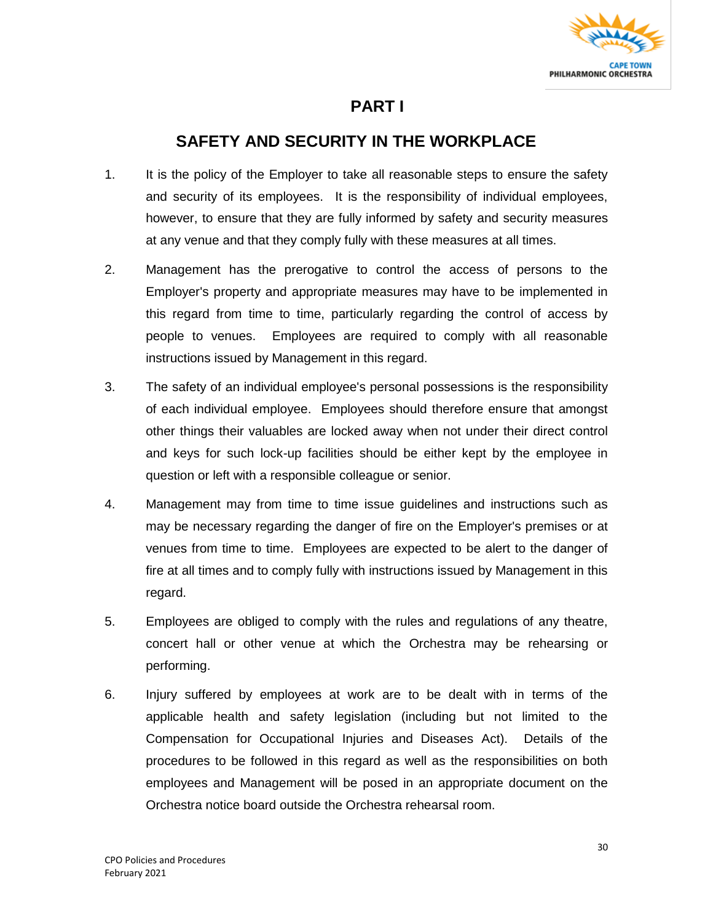

### **PART I**

### **SAFETY AND SECURITY IN THE WORKPLACE**

- 1. It is the policy of the Employer to take all reasonable steps to ensure the safety and security of its employees. It is the responsibility of individual employees, however, to ensure that they are fully informed by safety and security measures at any venue and that they comply fully with these measures at all times.
- 2. Management has the prerogative to control the access of persons to the Employer's property and appropriate measures may have to be implemented in this regard from time to time, particularly regarding the control of access by people to venues. Employees are required to comply with all reasonable instructions issued by Management in this regard.
- 3. The safety of an individual employee's personal possessions is the responsibility of each individual employee. Employees should therefore ensure that amongst other things their valuables are locked away when not under their direct control and keys for such lock-up facilities should be either kept by the employee in question or left with a responsible colleague or senior.
- 4. Management may from time to time issue guidelines and instructions such as may be necessary regarding the danger of fire on the Employer's premises or at venues from time to time. Employees are expected to be alert to the danger of fire at all times and to comply fully with instructions issued by Management in this regard.
- 5. Employees are obliged to comply with the rules and regulations of any theatre, concert hall or other venue at which the Orchestra may be rehearsing or performing.
- 6. Injury suffered by employees at work are to be dealt with in terms of the applicable health and safety legislation (including but not limited to the Compensation for Occupational Injuries and Diseases Act). Details of the procedures to be followed in this regard as well as the responsibilities on both employees and Management will be posed in an appropriate document on the Orchestra notice board outside the Orchestra rehearsal room.